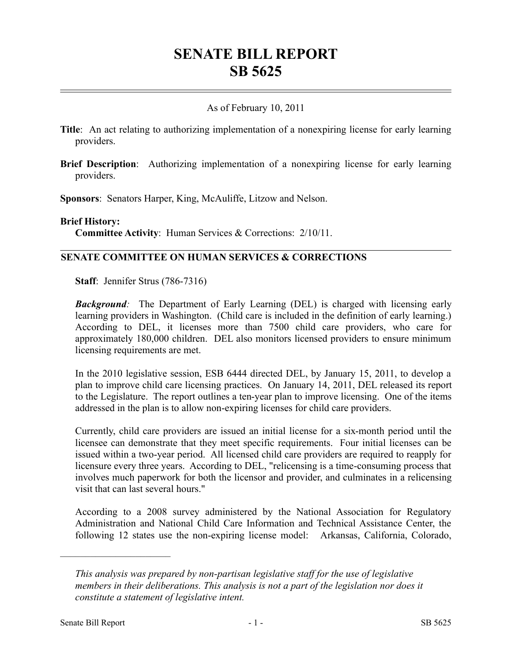# **SENATE BILL REPORT SB 5625**

## As of February 10, 2011

- **Title**: An act relating to authorizing implementation of a nonexpiring license for early learning providers.
- **Brief Description**: Authorizing implementation of a nonexpiring license for early learning providers.

**Sponsors**: Senators Harper, King, McAuliffe, Litzow and Nelson.

#### **Brief History:**

**Committee Activity**: Human Services & Corrections: 2/10/11.

## **SENATE COMMITTEE ON HUMAN SERVICES & CORRECTIONS**

**Staff**: Jennifer Strus (786-7316)

**Background**: The Department of Early Learning (DEL) is charged with licensing early learning providers in Washington. (Child care is included in the definition of early learning.) According to DEL, it licenses more than 7500 child care providers, who care for approximately 180,000 children. DEL also monitors licensed providers to ensure minimum licensing requirements are met.

In the 2010 legislative session, ESB 6444 directed DEL, by January 15, 2011, to develop a plan to improve child care licensing practices. On January 14, 2011, DEL released its report to the Legislature. The report outlines a ten-year plan to improve licensing. One of the items addressed in the plan is to allow non-expiring licenses for child care providers.

Currently, child care providers are issued an initial license for a six-month period until the licensee can demonstrate that they meet specific requirements. Four initial licenses can be issued within a two-year period. All licensed child care providers are required to reapply for licensure every three years. According to DEL, "relicensing is a time-consuming process that involves much paperwork for both the licensor and provider, and culminates in a relicensing visit that can last several hours."

According to a 2008 survey administered by the National Association for Regulatory Administration and National Child Care Information and Technical Assistance Center, the following 12 states use the non-expiring license model: Arkansas, California, Colorado,

––––––––––––––––––––––

*This analysis was prepared by non-partisan legislative staff for the use of legislative members in their deliberations. This analysis is not a part of the legislation nor does it constitute a statement of legislative intent.*